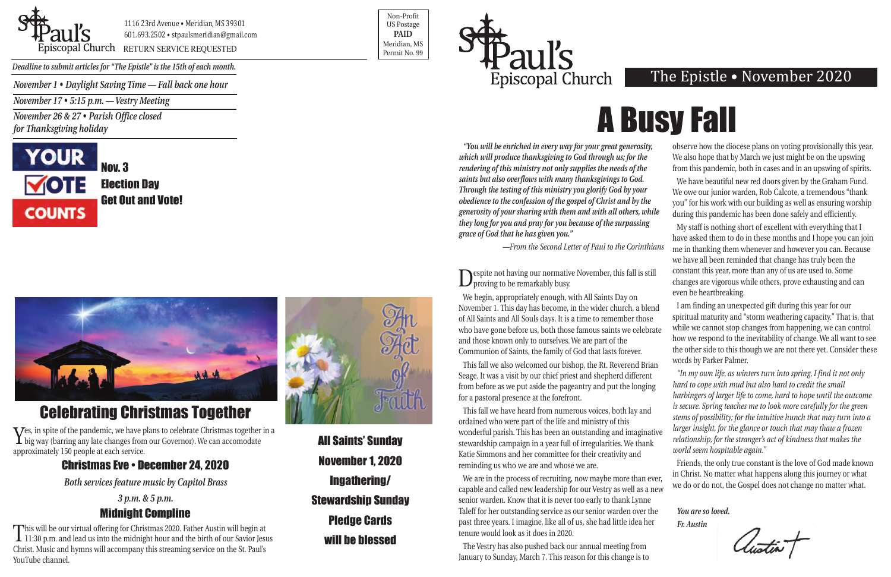*November 1 • Daylight Saving Time — Fall back one hour*

*November 17 • 5:15 p.m. — Vestry Meeting*

*November 26 & 27 • Parish Office closed for Thanksgiving holiday*





1116 23rd Avenue • Meridian, MS 39301 601.693.2502 • stpaulsmeridian@gmail.com

Priscopal Church RETURN SERVICE REQUESTED Research of the permit No. 99

Non-Profit US Postage **PAID** Meridian, MS



*Deadline to submit articles for "The Epistle" is the 15th of each month.* 

### The Epistle • November 2020

Nov. 3 Election Day Get Out and Vote!



**Nespite not having our normative November, this fall is still** proving to be remarkably busy.

*"You will be enriched in every way for your great generosity, which will produce thanksgiving to God through us; for the rendering of this ministry not only supplies the needs of the saints but also overflows with many thanksgivings to God. Through the testing of this ministry you glorify God by your obedience to the confession of the gospel of Christ and by the generosity of your sharing with them and with all others, while they long for you and pray for you because of the surpassing grace of God that he has given you."*  observe how the diocese plans on voting provisionally this year. We also hope that by March we just might be on the upswing We have beautiful new red doors given by the Graham Fund. We owe our junior warden, Rob Calcote, a tremendous "thank you" for his work with our building as well as ensuring worship during this pandemic has been done safely and efficiently. My staff is nothing short of excellent with everything that I

Seage. It was a visit by our chief priest and shepherd different from before as we put aside the pageantry and put the longing for a pastoral presence at the forefront. ordained who were part of the life and ministry of this wonderful parish. This has been an outstanding and imaginative stewardship campaign in a year full of irregularities. We thank Katie Simmons and her committee for their creativity and reminding us who we are and whose we are.

*—From the Second Letter of Paul to the Corinthians*  have asked them to do in these months and I hope you can join me in thanking them whenever and however you can. Because we have all been reminded that change has truly been the constant this year, more than any of us are used to. Some changes are vigorous while others, prove exhausting and can even be heartbreaking.

We are in the process of recruiting, now maybe more than ever, capable and called new leadership for our Vestry as well as a new senior warden. Know that it is never too early to thank Lynne Taleff for her outstanding service as our senior warden over the past three years. I imagine, like all of us, she had little idea her tenure would look as it does in 2020.

We begin, appropriately enough, with All Saints Day on November 1. This day has become, in the wider church, a blend of All Saints and All Souls days. It is a time to remember those who have gone before us, both those famous saints we celebrate and those known only to ourselves. We are part of the Communion of Saints, the family of God that lasts forever. I am finding an unexpected gift during this year for our spiritual maturity and "storm weathering capacity." That is, that while we cannot stop changes from happening, we can control how we respond to the inevitability of change. We all want to see the other side to this though we are not there yet. Consider these words by Parker Palmer.

The Vestry has also pushed back our annual meeting from January to Sunday, March 7. This reason for this change is to from this pandemic, both in cases and in an upswing of spirits.

This fall we also welcomed our bishop, the Rt. Reverend Brian This fall we have heard from numerous voices, both lay and *"In my own life, as winters turn into spring, I find it not only hard to cope with mud but also hard to credit the small harbingers of larger life to come, hard to hope until the outcome is secure. Spring teaches me to look more carefully for the green stems of possibility; for the intuitive hunch that may turn into a larger insight, for the glance or touch that may thaw a frozen relationship, for the stranger's act of kindness that makes the world seem hospitable again."*

> Friends, the only true constant is the love of God made known in Christ. No matter what happens along this journey or what we do or do not, the Gospel does not change no matter what.

*You are so loved. Fr. Austin*

All Saints' Sunday November 1, 2020 Ingathering/ Stewardship Sunday Pledge Cards will be blessed

# Celebrating Christmas Together

Yes, in spite of the pandemic, we have plans to celebrate Christmas together in a big way (barring any late changes from our Governor). We can accomodate approximately 150 people at each service.

#### Christmas Eve • December 24, 2020

*Both services feature music by Capitol Brass*

*3 p.m. & 5 p.m.*

## Midnight Compline

This will be our virtual offering for Christmas 2020. Father Austin will begin at 11:30 p.m. and lead us into the midnight hour and the birth of our Savior Jesus Christ. Music and hymns will accompany this streaming service on the St. Paul's YouTube channel.



A Busy Fall